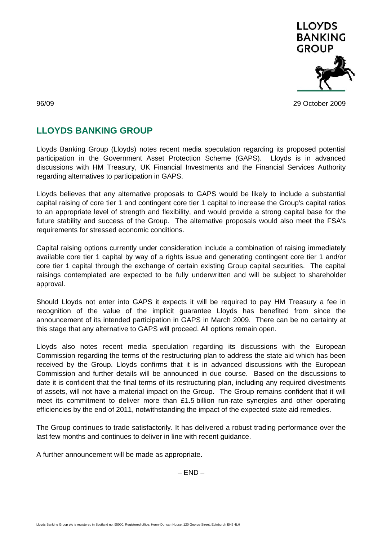

96/09 29 October 2009

## **LLOYDS BANKING GROUP**

Lloyds Banking Group (Lloyds) notes recent media speculation regarding its proposed potential participation in the Government Asset Protection Scheme (GAPS). Lloyds is in advanced discussions with HM Treasury, UK Financial Investments and the Financial Services Authority regarding alternatives to participation in GAPS.

Lloyds believes that any alternative proposals to GAPS would be likely to include a substantial capital raising of core tier 1 and contingent core tier 1 capital to increase the Group's capital ratios to an appropriate level of strength and flexibility, and would provide a strong capital base for the future stability and success of the Group. The alternative proposals would also meet the FSA's requirements for stressed economic conditions.

Capital raising options currently under consideration include a combination of raising immediately available core tier 1 capital by way of a rights issue and generating contingent core tier 1 and/or core tier 1 capital through the exchange of certain existing Group capital securities. The capital raisings contemplated are expected to be fully underwritten and will be subject to shareholder approval.

Should Lloyds not enter into GAPS it expects it will be required to pay HM Treasury a fee in recognition of the value of the implicit guarantee Lloyds has benefited from since the announcement of its intended participation in GAPS in March 2009. There can be no certainty at this stage that any alternative to GAPS will proceed. All options remain open.

Lloyds also notes recent media speculation regarding its discussions with the European Commission regarding the terms of the restructuring plan to address the state aid which has been received by the Group. Lloyds confirms that it is in advanced discussions with the European Commission and further details will be announced in due course. Based on the discussions to date it is confident that the final terms of its restructuring plan, including any required divestments of assets, will not have a material impact on the Group. The Group remains confident that it will meet its commitment to deliver more than £1.5 billion run-rate synergies and other operating efficiencies by the end of 2011, notwithstanding the impact of the expected state aid remedies.

The Group continues to trade satisfactorily. It has delivered a robust trading performance over the last few months and continues to deliver in line with recent guidance.

A further announcement will be made as appropriate.

 $-$  END  $-$